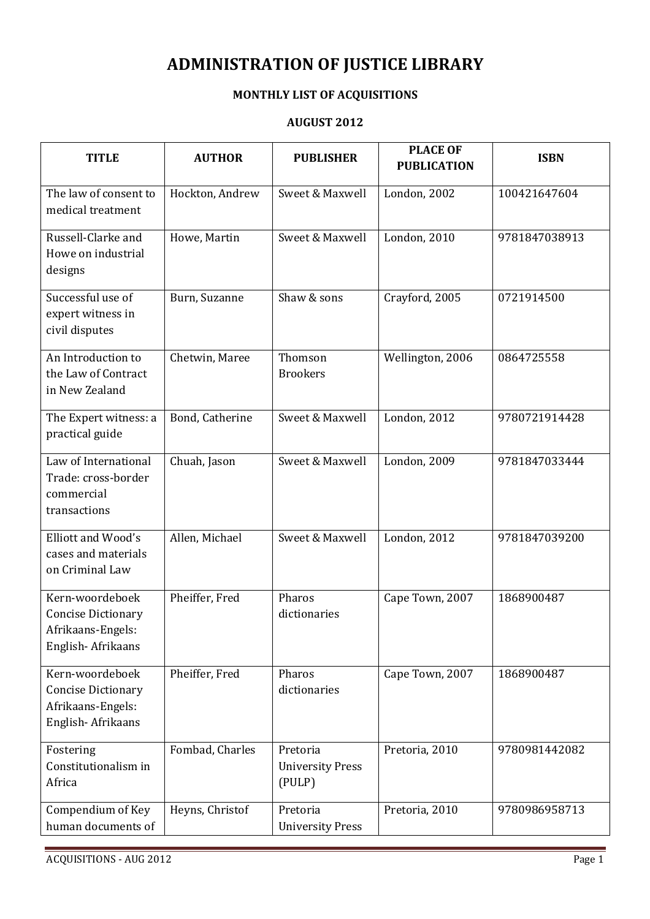## ADMINISTRATION OF JUSTICE LIBRARY

## MONTHLY LIST OF ACQUISITIONS

## AUGUST 2012

| <b>TITLE</b>                                                                           | <b>AUTHOR</b>   | <b>PUBLISHER</b>                              | <b>PLACE OF</b><br><b>PUBLICATION</b> | <b>ISBN</b>   |
|----------------------------------------------------------------------------------------|-----------------|-----------------------------------------------|---------------------------------------|---------------|
| The law of consent to<br>medical treatment                                             | Hockton, Andrew | Sweet & Maxwell                               | London, 2002                          | 100421647604  |
| Russell-Clarke and<br>Howe on industrial<br>designs                                    | Howe, Martin    | Sweet & Maxwell                               | <b>London</b> , 2010                  | 9781847038913 |
| Successful use of<br>expert witness in<br>civil disputes                               | Burn, Suzanne   | Shaw & sons                                   | Crayford, 2005                        | 0721914500    |
| An Introduction to<br>the Law of Contract<br>in New Zealand                            | Chetwin, Maree  | Thomson<br><b>Brookers</b>                    | Wellington, 2006                      | 0864725558    |
| The Expert witness: a<br>practical guide                                               | Bond, Catherine | Sweet & Maxwell                               | London, 2012                          | 9780721914428 |
| Law of International<br>Trade: cross-border<br>commercial<br>transactions              | Chuah, Jason    | Sweet & Maxwell                               | London, 2009                          | 9781847033444 |
| Elliott and Wood's<br>cases and materials<br>on Criminal Law                           | Allen, Michael  | Sweet & Maxwell                               | London, 2012                          | 9781847039200 |
| Kern-woordeboek<br><b>Concise Dictionary</b><br>Afrikaans-Engels:<br>English-Afrikaans | Pheiffer, Fred  | Pharos<br>dictionaries                        | Cape Town, 2007                       | 1868900487    |
| Kern-woordeboek<br><b>Concise Dictionary</b><br>Afrikaans-Engels:<br>English-Afrikaans | Pheiffer, Fred  | Pharos<br>dictionaries                        | Cape Town, 2007                       | 1868900487    |
| Fostering<br>Constitutionalism in<br>Africa                                            | Fombad, Charles | Pretoria<br><b>University Press</b><br>(PULP) | Pretoria, 2010                        | 9780981442082 |
| Compendium of Key<br>human documents of                                                | Heyns, Christof | Pretoria<br><b>University Press</b>           | Pretoria, 2010                        | 9780986958713 |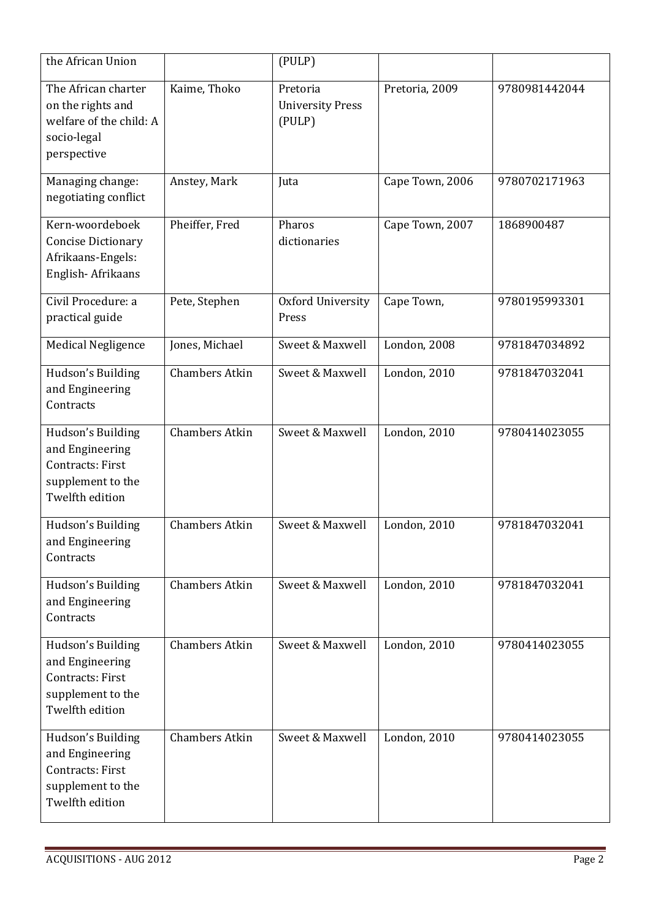| the African Union                                                                                 |                       | (PULP)                                        |                 |               |
|---------------------------------------------------------------------------------------------------|-----------------------|-----------------------------------------------|-----------------|---------------|
| The African charter<br>on the rights and<br>welfare of the child: A<br>socio-legal<br>perspective | Kaime, Thoko          | Pretoria<br><b>University Press</b><br>(PULP) | Pretoria, 2009  | 9780981442044 |
| Managing change:<br>negotiating conflict                                                          | Anstey, Mark          | Juta                                          | Cape Town, 2006 | 9780702171963 |
| Kern-woordeboek<br><b>Concise Dictionary</b><br>Afrikaans-Engels:<br>English-Afrikaans            | Pheiffer, Fred        | Pharos<br>dictionaries                        | Cape Town, 2007 | 1868900487    |
| Civil Procedure: a<br>practical guide                                                             | Pete, Stephen         | Oxford University<br>Press                    | Cape Town,      | 9780195993301 |
| <b>Medical Negligence</b>                                                                         | Jones, Michael        | Sweet & Maxwell                               | London, 2008    | 9781847034892 |
| Hudson's Building<br>and Engineering<br>Contracts                                                 | <b>Chambers Atkin</b> | Sweet & Maxwell                               | London, 2010    | 9781847032041 |
| Hudson's Building<br>and Engineering<br>Contracts: First<br>supplement to the<br>Twelfth edition  | <b>Chambers Atkin</b> | Sweet & Maxwell                               | London, 2010    | 9780414023055 |
| Hudson's Building<br>and Engineering<br>Contracts                                                 | <b>Chambers Atkin</b> | Sweet & Maxwell                               | London, 2010    | 9781847032041 |
| Hudson's Building<br>and Engineering<br>Contracts                                                 | <b>Chambers Atkin</b> | Sweet & Maxwell                               | London, 2010    | 9781847032041 |
| Hudson's Building<br>and Engineering<br>Contracts: First<br>supplement to the<br>Twelfth edition  | <b>Chambers Atkin</b> | Sweet & Maxwell                               | London, 2010    | 9780414023055 |
| Hudson's Building<br>and Engineering<br>Contracts: First<br>supplement to the<br>Twelfth edition  | <b>Chambers Atkin</b> | Sweet & Maxwell                               | London, 2010    | 9780414023055 |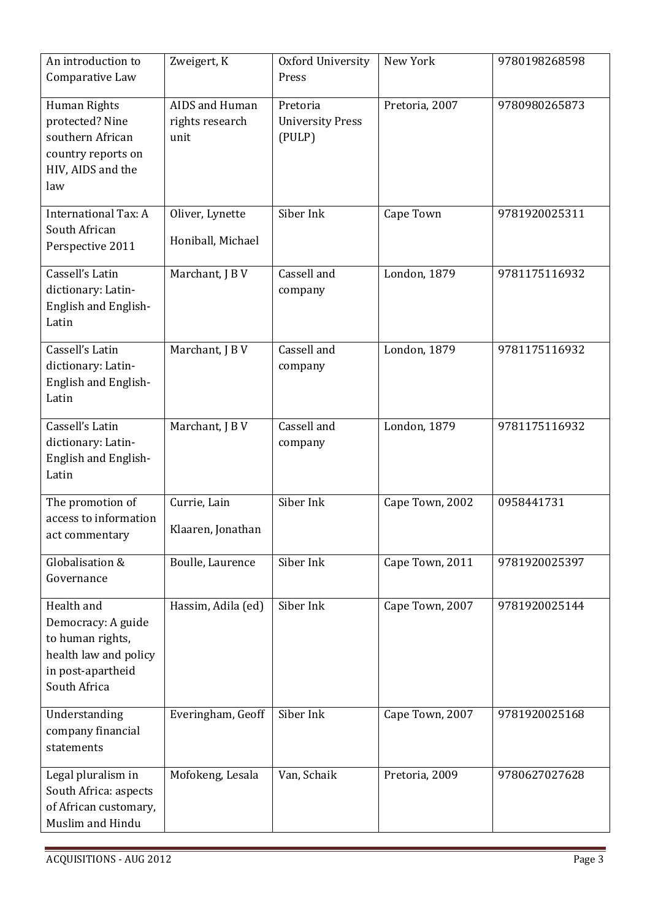| An introduction to<br>Comparative Law                                                                              | Zweigert, K                               | Oxford University<br>Press                    | New York        | 9780198268598 |
|--------------------------------------------------------------------------------------------------------------------|-------------------------------------------|-----------------------------------------------|-----------------|---------------|
| Human Rights<br>protected? Nine<br>southern African<br>country reports on<br>HIV, AIDS and the<br>law              | AIDS and Human<br>rights research<br>unit | Pretoria<br><b>University Press</b><br>(PULP) | Pretoria, 2007  | 9780980265873 |
| International Tax: A<br>South African<br>Perspective 2011                                                          | Oliver, Lynette<br>Honiball, Michael      | Siber Ink                                     | Cape Town       | 9781920025311 |
| Cassell's Latin<br>dictionary: Latin-<br>English and English-<br>Latin                                             | Marchant, J B V                           | Cassell and<br>company                        | London, 1879    | 9781175116932 |
| Cassell's Latin<br>dictionary: Latin-<br>English and English-<br>Latin                                             | Marchant, J B V                           | Cassell and<br>company                        | London, 1879    | 9781175116932 |
| Cassell's Latin<br>dictionary: Latin-<br>English and English-<br>Latin                                             | Marchant, J B V                           | Cassell and<br>company                        | London, 1879    | 9781175116932 |
| The promotion of<br>access to information<br>act commentary                                                        | Currie, Lain<br>Klaaren, Jonathan         | Siber Ink                                     | Cape Town, 2002 | 0958441731    |
| Globalisation &<br>Governance                                                                                      | Boulle, Laurence                          | Siber Ink                                     | Cape Town, 2011 | 9781920025397 |
| Health and<br>Democracy: A guide<br>to human rights,<br>health law and policy<br>in post-apartheid<br>South Africa | Hassim, Adila (ed)                        | Siber Ink                                     | Cape Town, 2007 | 9781920025144 |
| Understanding<br>company financial<br>statements                                                                   | Everingham, Geoff                         | Siber Ink                                     | Cape Town, 2007 | 9781920025168 |
| Legal pluralism in<br>South Africa: aspects<br>of African customary,<br>Muslim and Hindu                           | Mofokeng, Lesala                          | Van, Schaik                                   | Pretoria, 2009  | 9780627027628 |